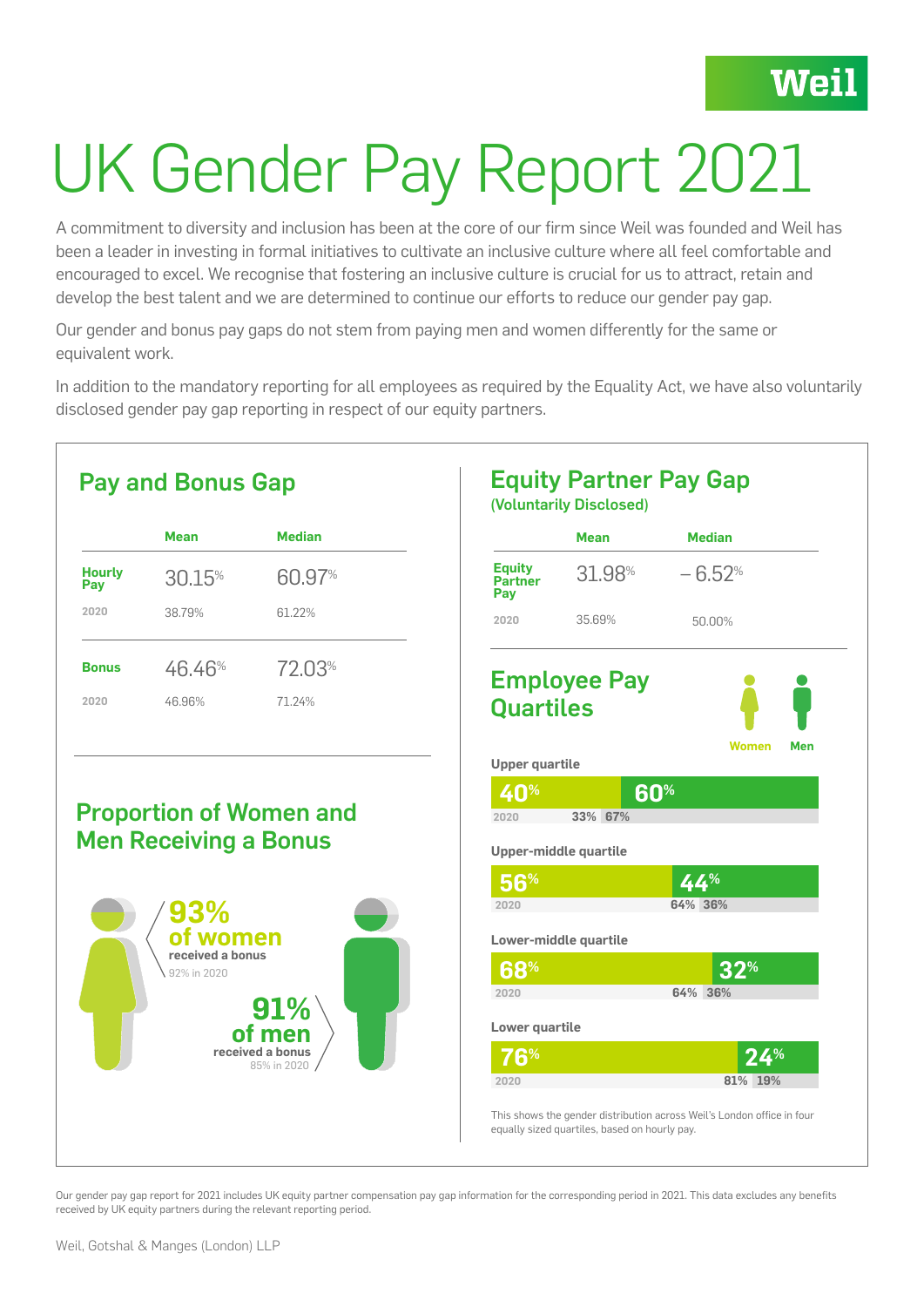

# UK Gender Pay Report 2021

A commitment to diversity and inclusion has been at the core of our firm since Weil was founded and Weil has been a leader in investing in formal initiatives to cultivate an inclusive culture where all feel comfortable and encouraged to excel. We recognise that fostering an inclusive culture is crucial for us to attract, retain and develop the best talent and we are determined to continue our efforts to reduce our gender pay gap.

Our gender and bonus pay gaps do not stem from paying men and women differently for the same or equivalent work.

In addition to the mandatory reporting for all employees as required by the Equality Act, we have also voluntarily disclosed gender pay gap reporting in respect of our equity partners.

| <b>Pay and Bonus Gap</b> |                    |               |  |
|--------------------------|--------------------|---------------|--|
|                          | <b>Mean</b>        | <b>Median</b> |  |
| <b>Hourly</b><br>Pay     | 30.15 <sup>%</sup> | 60.97%        |  |
| 2020                     | 38.79%             | 61.22%        |  |
| <b>Bonus</b>             | 46.46%             | 72.03%        |  |
| 2020                     | 46.96%             | 71.24%        |  |

## Proportion of Women and Men Receiving a Bonus



#### Equity Partner Pay Gap (Voluntarily Disclosed) 31.98% – 6.52% 35.69% 50.00% **Equity Partner Pay Mean Median 2020** Employee Pay **Ouartiles Women Men Upper quartile 40% 60% 2020 33% 67% Upper-middle quartile 56% 44% 2020 64% 36% Lower-middle quartile 2020 64% 36% 68% 32% Lower quartile 76% 24% 2020 81% 19%**

This shows the gender distribution across Weil's London office in four equally sized quartiles, based on hourly pay.

Our gender pay gap report for 2021 includes UK equity partner compensation pay gap information for the corresponding period in 2021. This data excludes any benefits received by UK equity partners during the relevant reporting period.